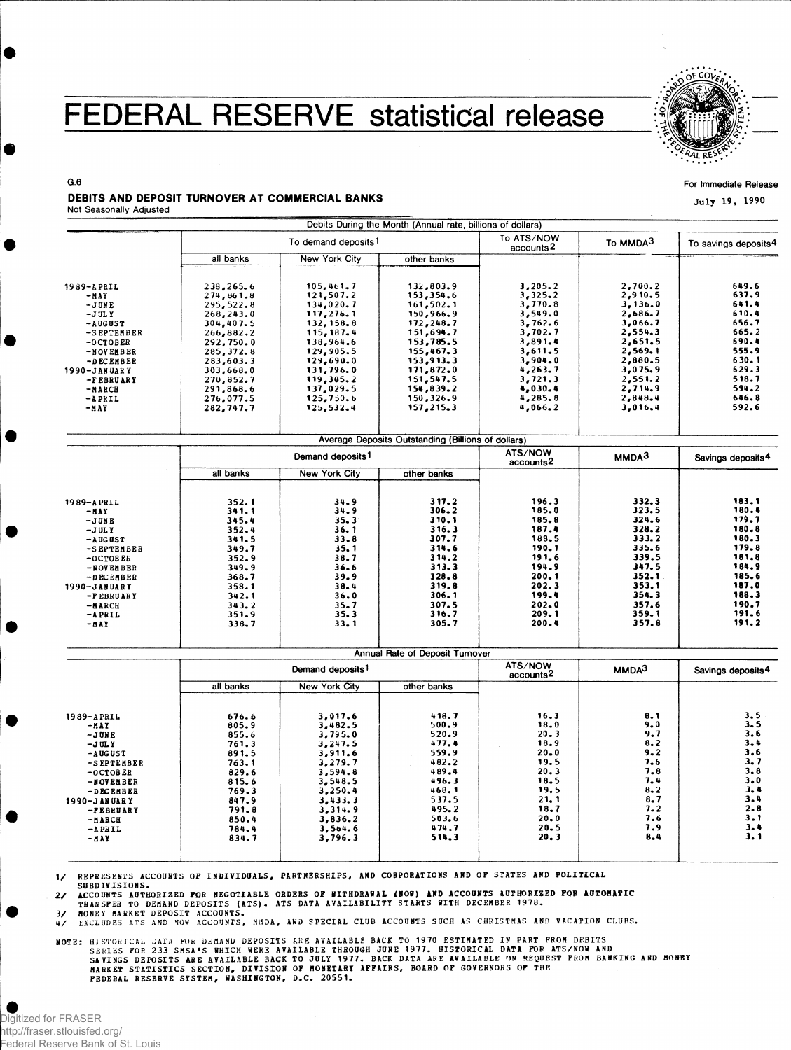## **FEDERAL RESERVE statistical release**



**For Immediate Releas e**

**Jul y 1 9 , 199 0**

## **G.6**  DEBITS AND DEPOSIT TURNOVER AT COMMERCIAL BANKS

|  | Not Seasonally Adjusted |  |
|--|-------------------------|--|
|--|-------------------------|--|

|              |                                   |                              | Debits During the Month (Annual rate, billions of dollars) |                                     |                   |                               |
|--------------|-----------------------------------|------------------------------|------------------------------------------------------------|-------------------------------------|-------------------|-------------------------------|
|              | To demand deposits <sup>1</sup>   |                              |                                                            | To ATS/NOW<br>accounts <sup>2</sup> | To MMDA3          | To savings deposits4          |
|              | all banks                         | New York City                | other banks                                                |                                     |                   |                               |
| 1989-APRIL   | 238,265.6                         |                              | 132,803.9<br>153,354.6                                     | 3,205.2                             | 2,700.2           | 649.6                         |
| -MAY         | 274,861.8                         | 105, 461.7<br>121, 507.2     |                                                            | 3,325.2                             | 2,910.5           | 637.9                         |
| $-J$ UNE     | 295,522.8                         | 134,020.7                    | 161, 502.1                                                 | 3,770.8                             | 3,136.0           | 641.4                         |
| $-J$ UL Y    | 268,243.0                         | 117,276.1                    | 150,966.9                                                  | 3,549.0                             | 2,686.7           | 610.4                         |
| -AUGUST      | 304,407.5                         | 132, 158.8                   | 172,248.7                                                  | 3,762.6                             | 3.066.7           | 656.7                         |
| -S EPTEMBER  | 266,882.2                         | 115, 187.4                   | 151,694.7                                                  | 3,702.7                             | 2,554.3           | 665.2                         |
| $-0CTOBER$   | 292,750.0                         | 138,964.6                    | 153,785.5                                                  | 3,891.4                             | 2,651.5           | 690.4                         |
| -NOVEMBER    | 285, 372.8                        | 129,905.5                    | 155,467.3                                                  | 3,611.5                             | 2,569.1           | 555.9                         |
| -DECEMBER    | 283,603.3                         | 129,690.0                    | 153,913.3                                                  | 3,904.0                             | 2,880.5           | 630.1                         |
| 1990-JANUARY | 303,668.0                         | 131,796.0                    | 171,872.0                                                  | 4,263.7                             | 3,075.9           | 629.3                         |
| -FEBRUARY    | 270,852.7                         | 119,305.2                    | 151,547.5                                                  | 3,721.3                             | 2,551.2           | 518.7                         |
| -и акси      | 291,868.6                         | 137,029.5                    | 154,839.2                                                  | 4,030.4                             | 2,714.9           | 594.2                         |
| $-APRIL$     | 276,077.5                         | 125,750.6                    | 150,326.9                                                  | 4,285.8                             | 2,848.4           | 646.8                         |
| $-MAY$       | 282,747.7                         | 125,532.4                    | 157, 215, 3                                                | 4,066.2                             | 3,016,4           | 592.6                         |
|              |                                   |                              | Average Deposits Outstanding (Billions of dollars)         |                                     |                   |                               |
|              |                                   | Demand deposits <sup>1</sup> |                                                            | ATS/NOW                             | MMDA3             | Savings deposits <sup>4</sup> |
|              | all banks                         | New York City                | other banks                                                | accounts <sup>2</sup>               |                   |                               |
|              |                                   |                              |                                                            |                                     |                   |                               |
| 1989-APRIL   | 352.1                             | 34.9                         | 317.2                                                      | 196.3                               | 332.3             | 183.1                         |
| $-MAY$       | 341.1                             | 34.9                         | $306 - 2$                                                  | 185.0                               | 323.5             | 180.4                         |
| $-J$ UNE     | 345.4                             | 35.3                         | 310.1                                                      | 185.8                               | 324.6             | 179.7                         |
| $-J$ UL Y    | 352.4                             | 36.1                         | 316.3                                                      | 187.4                               | 328.2             | 180.8                         |
| $-$ A UG UST | 341.5                             | 33.8                         | 307.7                                                      | 188.5                               | 333.2             | 180.3                         |
| -SEPTEMBER   | 349.7                             | 35.1                         | 314.6                                                      | 190.1                               | 335.6             | 179.8                         |
| $-0CTOBER$   | 352.9                             | 38.7                         | 314.2                                                      | 191.6                               | 339.5             | 181.8                         |
| -NOVEMBER    | 349.9                             | $36 - 6$                     | 313.3                                                      | 194.9                               | 347.5             | 184.9                         |
| -DECEMBER    | 368.7                             | 39.9                         | 328.8                                                      | 200.1                               | 352.1             | 185.6                         |
| 1990-JANUARY | 358.1                             | 38.4                         | 319.8                                                      | 202.3                               | 353.1             | 187.0                         |
| -FEBRUARY    | 342.1                             | 36.0                         | 306.1                                                      | 199.4                               | 354.3             | 188.3                         |
| $-M$ ARCH    | 343.2                             | $35 - 7$                     | 307.5                                                      | 202.0                               | 357.6             | 190.7                         |
| $-$ APRIL    | 351.9                             | 35.3                         | 316.7                                                      | 209.1                               | 359.1             | 191.6                         |
| -MAY         | 338.7                             | 33.1                         | 305.7                                                      | 200.4                               | 357.8             | 191.2                         |
|              |                                   |                              | Annual Rate of Deposit Turnover                            |                                     |                   |                               |
|              | Demand deposits <sup>1</sup>      |                              |                                                            | ATS/NOW                             | MMDA <sup>3</sup> | Savings deposits <sup>4</sup> |
|              | all banks<br><b>New York City</b> |                              | other banks                                                | accounts <sup>2</sup>               |                   |                               |
|              |                                   |                              |                                                            |                                     |                   |                               |
| 1989-APRIL   | 676.6                             | 3,017.6                      | 418.7                                                      | 16.3                                | 8.1               | 3.5                           |
| -HAY         | 805.9                             | 3,482.5                      | 500.9                                                      | 18.0                                | 9.0               | 3.5                           |
| $-JUNE$      | 855.6                             | 3,795.0                      | 520.9                                                      | 20.3                                | 9.7               | 3.6                           |
| $-J$ UL Y    | 761.3                             | 3,247.5                      | 477.4                                                      | 18.9                                | 8.2               | $3 - 4$                       |
| $-ALGUST$    | 891.5                             | 3,911.6                      | 559.9                                                      | $20 - 0$                            | 9.2               | 3.6                           |
| -SEPTEMBER   | 763.1                             | 3,279.7                      | $482 - 2$                                                  | 19.5                                | 7.6               | 3.7                           |
| $-0CTOBER$   | 829.6                             | 3,594.8                      | 489.4                                                      | 20.3                                | 7.8               | 3.8                           |
| -NOVEMBER    | 815.6                             | 3.548.5                      | 496.3                                                      | 18.5                                | 7.4               | $3 - 0$                       |
| -DECEMBER    | 769.3                             | 3,250.4                      | 468.1                                                      | 19.5                                | 8.2               | 3.4                           |
| 1990-JANUARY | 847.9                             | 3,433.3                      | 537.5                                                      | 21.1                                | 8,7               | 3.4                           |
| -PEBRUARY    | 791.8                             | 3,314.9                      | 495.2                                                      | 18.7                                | 7.2               | $2 - 8$                       |
| -NARCH       | 850.4                             | 3,836.2                      | 503.6                                                      | 20.0                                | 7.6               | 3.1                           |
| $-APRIL$     | 784.4                             | 3,564.6                      | 474.7                                                      | 20.5                                | 7.9               | 3.4                           |
| -HAY         | 834.7                             | 3,796.3                      | 514.3                                                      | 20.3                                | 8.4               | 3.1                           |
|              |                                   |                              |                                                            |                                     |                   |                               |

1/ REPRESENTS ACCOUNTS OF INDIVIDUALS, PARTNERSHIPS, AND CORPORATIONS AND OF STATES AND POLITICAL

SUBDIVISIONS.<br>2/ ACCOUNTS AUTHORIZED FOR NEGOTIABLE ORDERS OF WITHDRAWAL (NOW) AND ACCOUNTS AUTHORIZED FOR AUTOMATIC<br>TRANSFER TO DEMAND DEPOSITS (ATS). ATS DATA AVAILABILITY STARTS WITH DECEMBER 1978.<br>3/ MONEY MARKET DEPOS

MOTE: HISTORICAL DATA FOR DEMAND DEPOSITS ARE AVAILABLE BACK TO 1970 ESTIMATED IN PART FROM DEBITS<br>SERIES FOR 233 SMSA'S WHICH WERE AVAILABLE THROUGH JUNE 1977. HISTORICAL DATA FOR ATS/NOW AND<br>SAVINGS DEPOSITS ARE AVAILABL